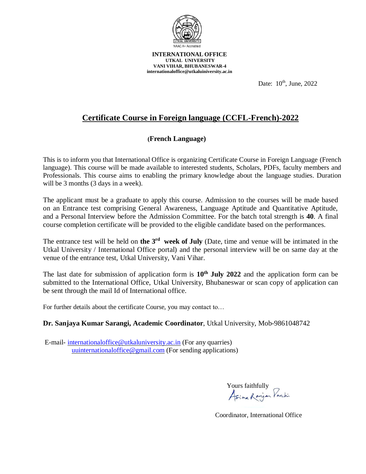

**INTERNATIONAL OFFICE UTKAL UNIVERSITY VANI VIHAR, BHUBANESWAR-4 [internationaloffice@utkaluiniversity.ac.in](mailto:internationaloffice@utkaluiniversity.ac.in)**

Date:  $10^{th}$ , June,  $2022$ 

# **Certificate Course in Foreign language (CCFL-French)-2022**

## **(French Language)**

This is to inform you that International Office is organizing Certificate Course in Foreign Language (French language). This course will be made available to interested students, Scholars, PDFs, faculty members and Professionals. This course aims to enabling the primary knowledge about the language studies. Duration will be 3 months (3 days in a week).

The applicant must be a graduate to apply this course. Admission to the courses will be made based on an Entrance test comprising General Awareness, Language Aptitude and Quantitative Aptitude, and a Personal Interview before the Admission Committee. For the batch total strength is **40**. A final course completion certificate will be provided to the eligible candidate based on the performances.

The entrance test will be held on **the 3<sup>rd</sup>** week of July (Date, time and venue will be intimated in the Utkal University / International Office portal) and the personal interview will be on same day at the venue of the entrance test, Utkal University, Vani Vihar.

The last date for submission of application form is **10th July 2022** and the application form can be submitted to the International Office, Utkal University, Bhubaneswar or scan copy of application can be sent through the mail Id of International office.

For further details about the certificate Course, you may contact to…

### **Dr. Sanjaya Kumar Sarangi, Academic Coordinator**, Utkal University, Mob-9861048742

E-mail- [internationaloffice@utkaluniversity.ac.in](mailto:internationaloffice@utkaluniversity.ac.in) (For any quarries) [uuinternationaloffice@gmail.com](mailto:uuinternationaloffice@gmail.com) (For sending applications)

Yours faithfully<br>Asime Ranjan Partin

Coordinator, International Office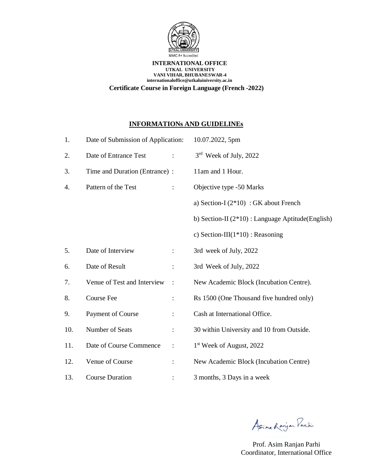

#### **INTERNATIONAL OFFICE UTKAL UNIVERSITY VANI VIHAR, BHUBANESWAR-4 [internationaloffice@utkaluiniversity.ac.in](mailto:internationaloffice@utkaluiniversity.ac.in) Certificate Course in Foreign Language (French -2022)**

## **INFORMATIONs AND GUIDELINEs**

| 1.  | Date of Submission of Application:            | 10.07.2022, 5pm                                      |
|-----|-----------------------------------------------|------------------------------------------------------|
| 2.  | Date of Entrance Test                         | 3 <sup>rd</sup> Week of July, 2022                   |
| 3.  | Time and Duration (Entrance) :                | 11am and 1 Hour.                                     |
| 4.  | Pattern of the Test                           | Objective type -50 Marks                             |
|     |                                               | a) Section-I $(2*10)$ : GK about French              |
|     |                                               | b) Section-II $(2*10)$ : Language Aptitude (English) |
|     |                                               | c) Section-III $(1*10)$ : Reasoning                  |
| 5.  | Date of Interview<br>$\ddot{\cdot}$           | 3rd week of July, 2022                               |
| 6.  | Date of Result<br>$\ddot{\cdot}$              | 3rd Week of July, 2022                               |
| 7.  | Venue of Test and Interview<br>$\ddot{\cdot}$ | New Academic Block (Incubation Centre).              |
| 8.  | <b>Course Fee</b><br>$\ddot{\cdot}$           | Rs 1500 (One Thousand five hundred only)             |
| 9.  | Payment of Course<br>$\ddot{\cdot}$           | Cash at International Office.                        |
| 10. | Number of Seats<br>$\ddot{\cdot}$             | 30 within University and 10 from Outside.            |
| 11. | Date of Course Commence<br>$\ddot{\cdot}$     | 1 <sup>st</sup> Week of August, 2022                 |
| 12. | Venue of Course<br>$\ddot{\cdot}$             | New Academic Block (Incubation Centre)               |
| 13. | <b>Course Duration</b>                        | 3 months, 3 Days in a week                           |

Asima Ranjan Parki

Prof. Asim Ranjan Parhi Coordinator, International Office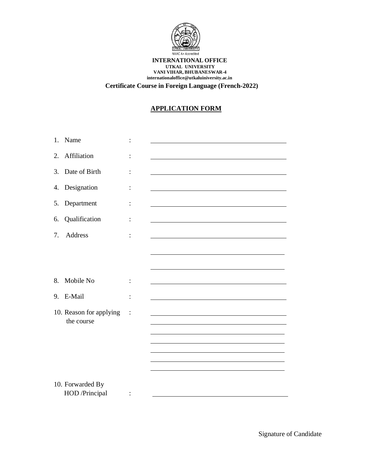

#### **INTERNATIONAL OFFICE UTKAL UNIVERSITY VANI VIHAR, BHUBANESWAR-4 [internationaloffice@utkaluiniversity.ac.in](mailto:internationaloffice@utkaluiniversity.ac.in) Certificate Course in Foreign Language (French-2022)**

## **APPLICATION FORM**

| 1. | Name                                  |                |                                                            |
|----|---------------------------------------|----------------|------------------------------------------------------------|
| 2. | Affiliation                           |                |                                                            |
| 3. | Date of Birth                         |                |                                                            |
| 4. | Designation                           |                |                                                            |
| 5. | Department                            |                |                                                            |
| 6. | Qualification                         | :              | <u> 1989 - Johann Barn, amerikansk politiker (d. 1989)</u> |
| 7. | Address                               | $\ddot{\cdot}$ |                                                            |
|    |                                       |                |                                                            |
|    |                                       |                |                                                            |
| 8. | Mobile No                             |                |                                                            |
| 9. | E-Mail                                | :              |                                                            |
|    | 10. Reason for applying<br>the course |                |                                                            |
|    |                                       |                |                                                            |
|    |                                       |                |                                                            |
|    |                                       |                |                                                            |
|    | 10. Forwarded By<br>HOD /Principal    | $\ddot{\cdot}$ |                                                            |

Signature of Candidate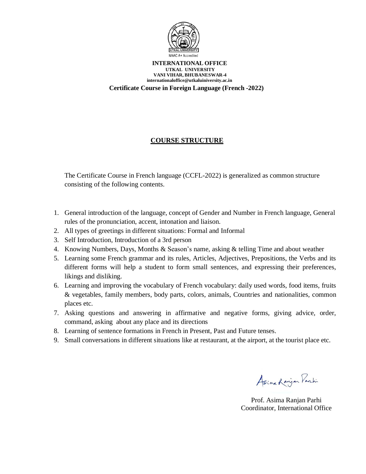

#### **INTERNATIONAL OFFICE UTKAL UNIVERSITY VANI VIHAR, BHUBANESWAR-4 [internationaloffice@utkaluiniversity.ac.in](mailto:internationaloffice@utkaluiniversity.ac.in) Certificate Course in Foreign Language (French -2022)**

## **COURSE STRUCTURE**

The Certificate Course in French language (CCFL-2022) is generalized as common structure consisting of the following contents.

- 1. General introduction of the language, concept of Gender and Number in French language, General rules of the pronunciation, accent, intonation and liaison.
- 2. All types of greetings in different situations: Formal and Informal
- 3. Self Introduction, Introduction of a 3rd person
- 4. Knowing Numbers, Days, Months & Season's name, asking & telling Time and about weather
- 5. Learning some French grammar and its rules, Articles, Adjectives, Prepositions, the Verbs and its different forms will help a student to form small sentences, and expressing their preferences, likings and disliking.
- 6. Learning and improving the vocabulary of French vocabulary: daily used words, food items, fruits & vegetables, family members, body parts, colors, animals, Countries and nationalities, common places etc.
- 7. Asking questions and answering in affirmative and negative forms, giving advice, order, command, asking about any place and its directions
- 8. Learning of sentence formations in French in Present, Past and Future tenses.
- 9. Small conversations in different situations like at restaurant, at the airport, at the tourist place etc.

Asime Ranjan Parki

Prof. Asima Ranjan Parhi Coordinator, International Office